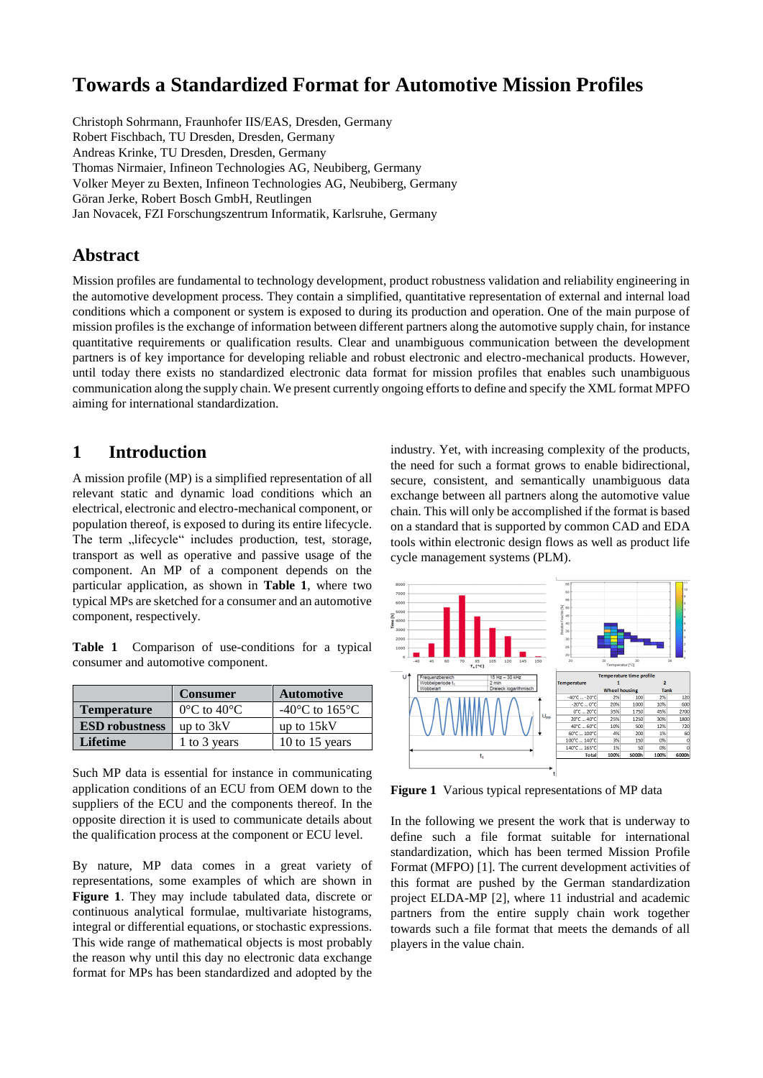# **Towards a Standardized Format for Automotive Mission Profiles**

Christoph Sohrmann, Fraunhofer IIS/EAS, Dresden, Germany Robert Fischbach, TU Dresden, Dresden, Germany Andreas Krinke, TU Dresden, Dresden, Germany Thomas Nirmaier, Infineon Technologies AG, Neubiberg, Germany Volker Meyer zu Bexten, Infineon Technologies AG, Neubiberg, Germany Göran Jerke, Robert Bosch GmbH, Reutlingen Jan Novacek, FZI Forschungszentrum Informatik, Karlsruhe, Germany

## **Abstract**

Mission profiles are fundamental to technology development, product robustness validation and reliability engineering in the automotive development process. They contain a simplified, quantitative representation of external and internal load conditions which a component or system is exposed to during its production and operation. One of the main purpose of mission profiles is the exchange of information between different partners along the automotive supply chain, for instance quantitative requirements or qualification results. Clear and unambiguous communication between the development partners is of key importance for developing reliable and robust electronic and electro-mechanical products. However, until today there exists no standardized electronic data format for mission profiles that enables such unambiguous communication along the supply chain. We present currently ongoing efforts to define and specify the XML format MPFO aiming for international standardization.

## **1 Introduction**

A mission profile (MP) is a simplified representation of all relevant static and dynamic load conditions which an electrical, electronic and electro-mechanical component, or population thereof, is exposed to during its entire lifecycle. The term "lifecycle" includes production, test, storage, transport as well as operative and passive usage of the component. An MP of a component depends on the particular application, as shown in **Table 1**, where two typical MPs are sketched for a consumer and an automotive component, respectively.

**Table 1** Comparison of use-conditions for a typical consumer and automotive component.

|                       | <b>Consumer</b>                  | <b>Automotive</b>                    |
|-----------------------|----------------------------------|--------------------------------------|
| <b>Temperature</b>    | $0^{\circ}$ C to 40 $^{\circ}$ C | -40 $^{\circ}$ C to 165 $^{\circ}$ C |
| <b>ESD</b> robustness | up to $3kV$                      | up to $15kV$                         |
| Lifetime              | 1 to 3 years                     | 10 to 15 years                       |

Such MP data is essential for instance in communicating application conditions of an ECU from OEM down to the suppliers of the ECU and the components thereof. In the opposite direction it is used to communicate details about the qualification process at the component or ECU level.

By nature, MP data comes in a great variety of representations, some examples of which are shown in **Figure 1**. They may include tabulated data, discrete or continuous analytical formulae, multivariate histograms, integral or differential equations, or stochastic expressions. This wide range of mathematical objects is most probably the reason why until this day no electronic data exchange format for MPs has been standardized and adopted by the industry. Yet, with increasing complexity of the products, the need for such a format grows to enable bidirectional, secure, consistent, and semantically unambiguous data exchange between all partners along the automotive value chain. This will only be accomplished if the format is based on a standard that is supported by common CAD and EDA tools within electronic design flows as well as product life cycle management systems (PLM).



**Figure 1** Various typical representations of MP data

In the following we present the work that is underway to define such a file format suitable for international standardization, which has been termed Mission Profile Format (MFPO) [\[1\].](#page-5-0) The current development activities of this format are pushed by the German standardization project ELDA-MP [\[2\],](#page-5-1) where 11 industrial and academic partners from the entire supply chain work together towards such a file format that meets the demands of all players in the value chain.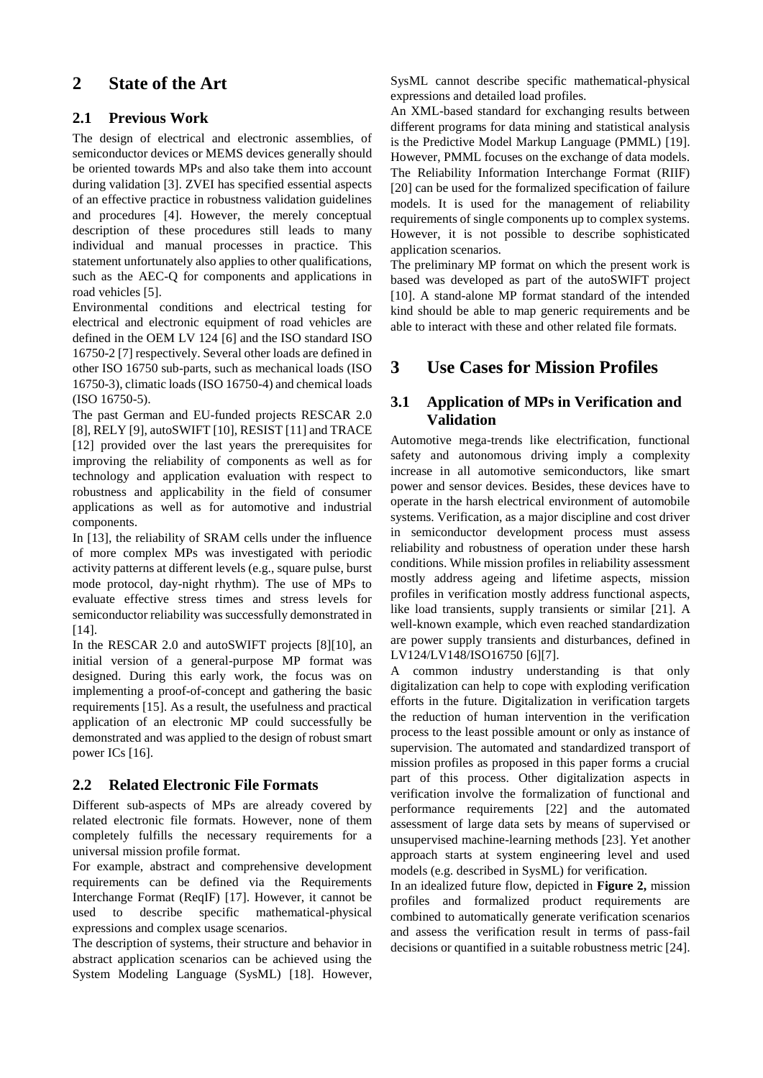# **2 State of the Art**

### **2.1 Previous Work**

The design of electrical and electronic assemblies, of semiconductor devices or MEMS devices generally should be oriented towards MPs and also take them into account during validation [\[3\].](#page-5-2) ZVEI has specified essential aspects of an effective practice in robustness validation guidelines and procedures [\[4\].](#page-5-3) However, the merely conceptual description of these procedures still leads to many individual and manual processes in practice. This statement unfortunately also applies to other qualifications, such as the AEC-Q for components and applications in road vehicles [\[5\].](#page-5-4)

Environmental conditions and electrical testing for electrical and electronic equipment of road vehicles are defined in the OEM LV 124 [\[6\]](#page-5-5) and the ISO standard ISO 16750-2 [\[7\]](#page-5-6) respectively. Several other loads are defined in other ISO 16750 sub-parts, such as mechanical loads (ISO 16750-3), climatic loads (ISO 16750-4) and chemical loads (ISO 16750-5).

The past German and EU-funded projects RESCAR 2.0 [\[8\],](#page-5-7) RELY [\[9\],](#page-5-8) autoSWIF[T \[10\],](#page-5-9) RESIS[T \[11\]](#page-5-10) and TRACE [\[12\]](#page-5-11) provided over the last years the prerequisites for improving the reliability of components as well as for technology and application evaluation with respect to robustness and applicability in the field of consumer applications as well as for automotive and industrial components.

In [\[13\],](#page-5-12) the reliability of SRAM cells under the influence of more complex MPs was investigated with periodic activity patterns at different levels (e.g., square pulse, burst mode protocol, day-night rhythm). The use of MPs to evaluate effective stress times and stress levels for semiconductor reliability was successfully demonstrated in  $[14]$ .

In the RESCAR 2.0 and autoSWIFT projects [\[8\]\[10\],](#page-5-7) an initial version of a general-purpose MP format was designed. During this early work, the focus was on implementing a proof-of-concept and gathering the basic requirements [\[15\].](#page-5-14) As a result, the usefulness and practical application of an electronic MP could successfully be demonstrated and was applied to the design of robust smart power ICs [\[16\].](#page-5-15)

### **2.2 Related Electronic File Formats**

Different sub-aspects of MPs are already covered by related electronic file formats. However, none of them completely fulfills the necessary requirements for a universal mission profile format.

For example, abstract and comprehensive development requirements can be defined via the Requirements Interchange Format (ReqIF) [\[17\].](#page-5-16) However, it cannot be used to describe specific mathematical-physical expressions and complex usage scenarios.

The description of systems, their structure and behavior in abstract application scenarios can be achieved using the System Modeling Language (SysML) [\[18\].](#page-5-17) However, SysML cannot describe specific mathematical-physical expressions and detailed load profiles.

An XML-based standard for exchanging results between different programs for data mining and statistical analysis is the Predictive Model Markup Language (PMML) [\[19\].](#page-5-18) However, PMML focuses on the exchange of data models. The Reliability Information Interchange Format (RIIF) [\[20\]](#page-5-19) can be used for the formalized specification of failure models. It is used for the management of reliability requirements of single components up to complex systems. However, it is not possible to describe sophisticated application scenarios.

The preliminary MP format on which the present work is based was developed as part of the autoSWIFT project [\[10\].](#page-5-9) A stand-alone MP format standard of the intended kind should be able to map generic requirements and be able to interact with these and other related file formats.

# **3 Use Cases for Mission Profiles**

### **3.1 Application of MPs in Verification and Validation**

Automotive mega-trends like electrification, functional safety and autonomous driving imply a complexity increase in all automotive semiconductors, like smart power and sensor devices. Besides, these devices have to operate in the harsh electrical environment of automobile systems. Verification, as a major discipline and cost driver in semiconductor development process must assess reliability and robustness of operation under these harsh conditions. While mission profiles in reliability assessment mostly address ageing and lifetime aspects, mission profiles in verification mostly address functional aspects, like load transients, supply transients or similar [\[21\].](#page-5-20) A well-known example, which even reached standardization are power supply transients and disturbances, defined in LV124/LV148/ISO16750 [\[6\]\[7\].](#page-5-5)

A common industry understanding is that only digitalization can help to cope with exploding verification efforts in the future. Digitalization in verification targets the reduction of human intervention in the verification process to the least possible amount or only as instance of supervision. The automated and standardized transport of mission profiles as proposed in this paper forms a crucial part of this process. Other digitalization aspects in verification involve the formalization of functional and performance requirements [\[22\]](#page-5-21) and the automated assessment of large data sets by means of supervised or unsupervised machine-learning methods [\[23\].](#page-5-22) Yet another approach starts at system engineering level and used models (e.g. described in SysML) for verification.

In an idealized future flow, depicted in **Figure 2,** mission profiles and formalized product requirements are combined to automatically generate verification scenarios and assess the verification result in terms of pass-fail decisions or quantified in a suitable robustness metri[c \[24\].](#page-5-23)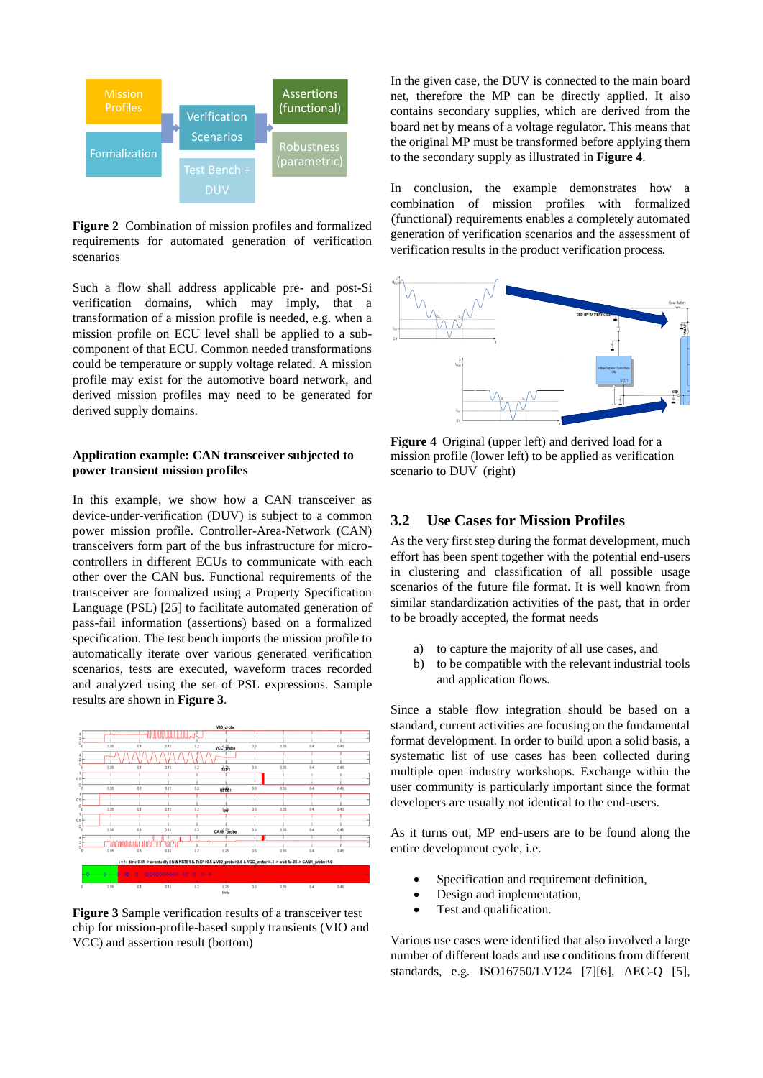

**Figure 2** Combination of mission profiles and formalized requirements for automated generation of verification scenarios

Such a flow shall address applicable pre- and post-Si verification domains, which may imply, that a transformation of a mission profile is needed, e.g. when a mission profile on ECU level shall be applied to a subcomponent of that ECU. Common needed transformations could be temperature or supply voltage related. A mission profile may exist for the automotive board network, and derived mission profiles may need to be generated for derived supply domains.

#### **Application example: CAN transceiver subjected to power transient mission profiles**

In this example, we show how a CAN transceiver as device-under-verification (DUV) is subject to a common power mission profile. Controller-Area-Network (CAN) transceivers form part of the bus infrastructure for microcontrollers in different ECUs to communicate with each other over the CAN bus. Functional requirements of the transceiver are formalized using a Property Specification Language (PSL) [\[25\]](#page-5-24) to facilitate automated generation of pass-fail information (assertions) based on a formalized specification. The test bench imports the mission profile to automatically iterate over various generated verification scenarios, tests are executed, waveform traces recorded and analyzed using the set of PSL expressions. Sample results are shown in **Figure 3**.



**Figure 3** Sample verification results of a transceiver test chip for mission-profile-based supply transients (VIO and VCC) and assertion result (bottom)

In the given case, the DUV is connected to the main board net, therefore the MP can be directly applied. It also contains secondary supplies, which are derived from the board net by means of a voltage regulator. This means that the original MP must be transformed before applying them to the secondary supply as illustrated in **Figure 4**.

In conclusion, the example demonstrates how a combination of mission profiles with formalized (functional) requirements enables a completely automated generation of verification scenarios and the assessment of verification results in the product verification process.



**Figure 4** Original (upper left) and derived load for a mission profile (lower left) to be applied as verification scenario to DUV (right)

#### **3.2 Use Cases for Mission Profiles**

As the very first step during the format development, much effort has been spent together with the potential end-users in clustering and classification of all possible usage scenarios of the future file format. It is well known from similar standardization activities of the past, that in order to be broadly accepted, the format needs

- a) to capture the majority of all use cases, and
- b) to be compatible with the relevant industrial tools and application flows.

Since a stable flow integration should be based on a standard, current activities are focusing on the fundamental format development. In order to build upon a solid basis, a systematic list of use cases has been collected during multiple open industry workshops. Exchange within the user community is particularly important since the format developers are usually not identical to the end-users.

As it turns out, MP end-users are to be found along the entire development cycle, i.e.

- Specification and requirement definition,
- Design and implementation,
- Test and qualification.

Various use cases were identified that also involved a large number of different loads and use conditions from different standards, e.g. ISO16750/LV124 [\[7\]\[6\],](#page-5-6) AEC-Q [\[5\],](#page-5-4)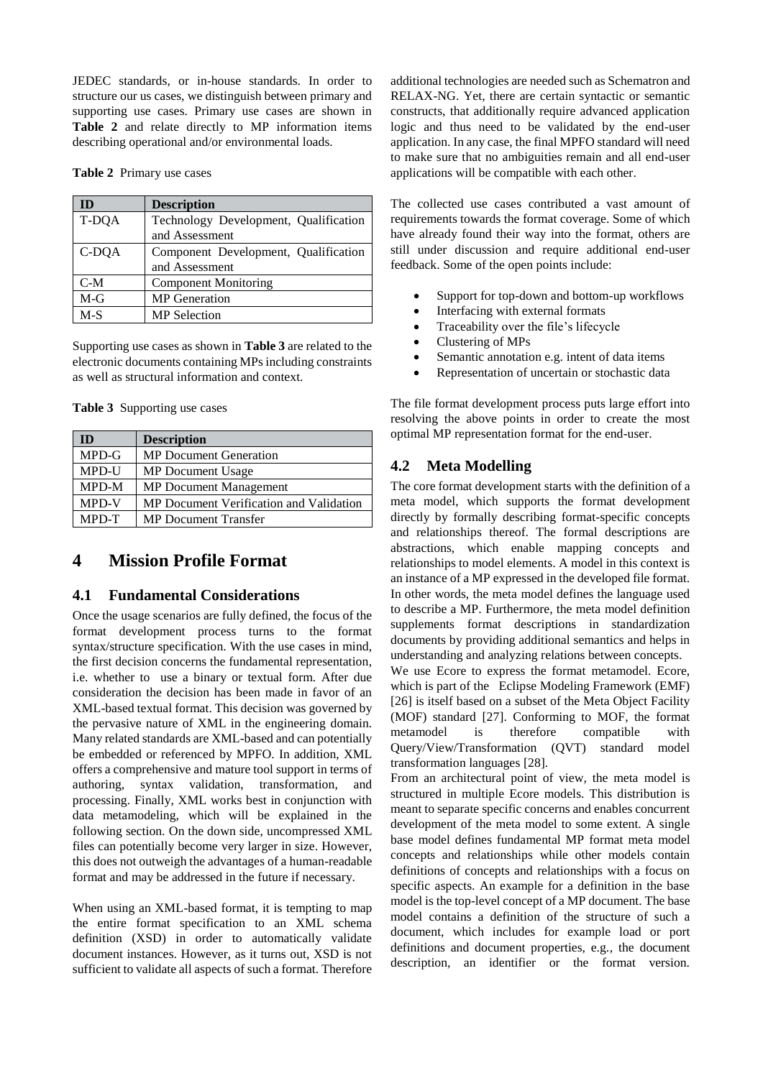JEDEC standards, or in-house standards. In order to structure our us cases, we distinguish between primary and supporting use cases. Primary use cases are shown in **Table 2** and relate directly to MP information items describing operational and/or environmental loads.

**Table 2** Primary use cases

| ID    | <b>Description</b>                    |
|-------|---------------------------------------|
| T-DQA | Technology Development, Qualification |
|       | and Assessment                        |
| C-DQA | Component Development, Qualification  |
|       | and Assessment                        |
| $C-M$ | <b>Component Monitoring</b>           |
| $M-G$ | <b>MP</b> Generation                  |
| $M-S$ | <b>MP</b> Selection                   |

Supporting use cases as shown in **Table 3** are related to the electronic documents containing MPs including constraints as well as structural information and context.

| Table 3 Supporting use cases |  |  |  |
|------------------------------|--|--|--|
|------------------------------|--|--|--|

| ID    | <b>Description</b>                      |
|-------|-----------------------------------------|
| MPD-G | <b>MP</b> Document Generation           |
| MPD-U | <b>MP</b> Document Usage                |
| MPD-M | <b>MP</b> Document Management           |
| MPD-V | MP Document Verification and Validation |
| MPD-T | <b>MP</b> Document Transfer             |

# **4 Mission Profile Format**

#### **4.1 Fundamental Considerations**

Once the usage scenarios are fully defined, the focus of the format development process turns to the format syntax/structure specification. With the use cases in mind, the first decision concerns the fundamental representation, i.e. whether to use a binary or textual form. After due consideration the decision has been made in favor of an XML-based textual format. This decision was governed by the pervasive nature of XML in the engineering domain. Many related standards are XML-based and can potentially be embedded or referenced by MPFO. In addition, XML offers a comprehensive and mature tool support in terms of authoring, syntax validation, transformation, and processing. Finally, XML works best in conjunction with data metamodeling, which will be explained in the following section. On the down side, uncompressed XML files can potentially become very larger in size. However, this does not outweigh the advantages of a human-readable format and may be addressed in the future if necessary.

When using an XML-based format, it is tempting to map the entire format specification to an XML schema definition (XSD) in order to automatically validate document instances. However, as it turns out, XSD is not sufficient to validate all aspects of such a format. Therefore

additional technologies are needed such as Schematron and RELAX-NG. Yet, there are certain syntactic or semantic constructs, that additionally require advanced application logic and thus need to be validated by the end-user application. In any case, the final MPFO standard will need to make sure that no ambiguities remain and all end-user applications will be compatible with each other.

The collected use cases contributed a vast amount of requirements towards the format coverage. Some of which have already found their way into the format, others are still under discussion and require additional end-user feedback. Some of the open points include:

- Support for top-down and bottom-up workflows
- Interfacing with external formats
- Traceability over the file's lifecycle
- Clustering of MPs
- Semantic annotation e.g. intent of data items
- Representation of uncertain or stochastic data

The file format development process puts large effort into resolving the above points in order to create the most optimal MP representation format for the end-user.

## **4.2 Meta Modelling**

The core format development starts with the definition of a meta model, which supports the format development directly by formally describing format-specific concepts and relationships thereof. The formal descriptions are abstractions, which enable mapping concepts and relationships to model elements. A model in this context is an instance of a MP expressed in the developed file format. In other words, the meta model defines the language used to describe a MP. Furthermore, the meta model definition supplements format descriptions in standardization documents by providing additional semantics and helps in understanding and analyzing relations between concepts.

We use Ecore to express the format metamodel. Ecore, which is part of the Eclipse Modeling Framework (EMF) [\[26\]](#page-5-25) is itself based on a subset of the Meta Object Facility (MOF) standard [\[27\].](#page-5-26) Conforming to MOF, the format metamodel is therefore compatible with Query/View/Transformation (QVT) standard model transformation languages [\[28\].](#page-5-27)

From an architectural point of view, the meta model is structured in multiple Ecore models. This distribution is meant to separate specific concerns and enables concurrent development of the meta model to some extent. A single base model defines fundamental MP format meta model concepts and relationships while other models contain definitions of concepts and relationships with a focus on specific aspects. An example for a definition in the base model is the top-level concept of a MP document. The base model contains a definition of the structure of such a document, which includes for example load or port definitions and document properties, e.g., the document description, an identifier or the format version.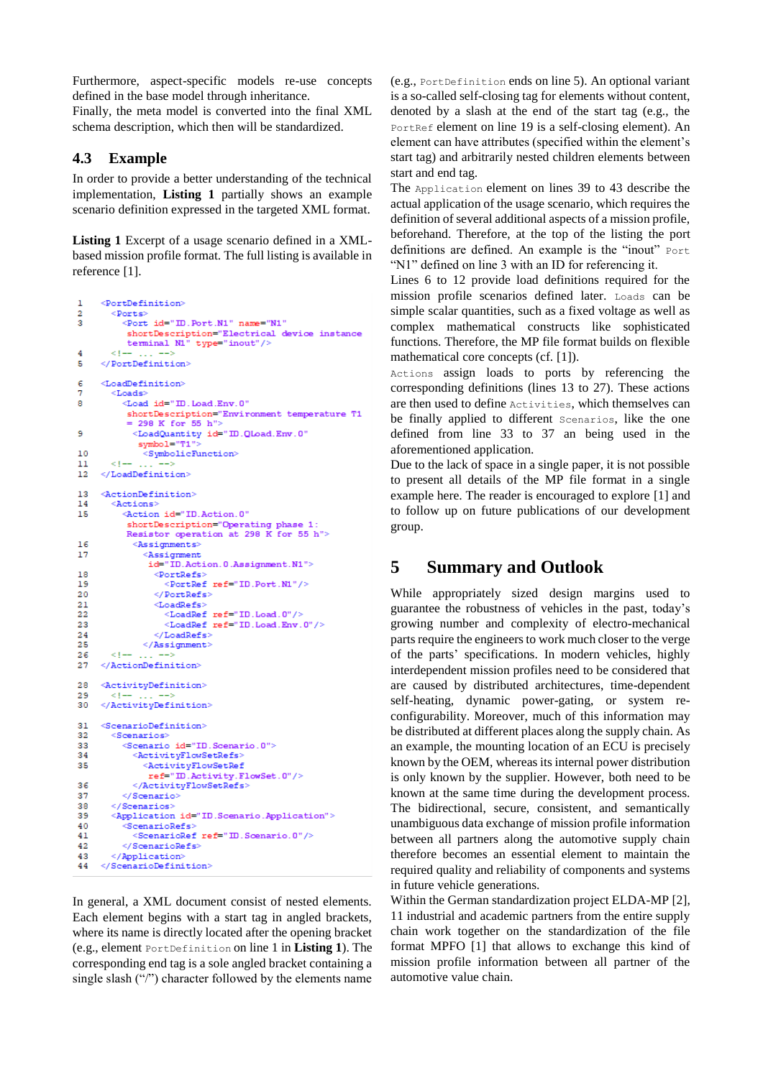Furthermore, aspect-specific models re-use concepts defined in the base model through inheritance.

Finally, the meta model is converted into the final XML schema description, which then will be standardized.

#### **4.3 Example**

In order to provide a better understanding of the technical implementation, **Listing 1** partially shows an example scenario definition expressed in the targeted XML format.

**Listing 1** Excerpt of a usage scenario defined in a XMLbased mission profile format. The full listing is available in reference [\[1\].](#page-5-0)

```
<PortDefinition>
\overline{1}\overline{2}< Ports>
\overline{\mathbf{a}}<Port_id="ID_Port_N1"_name="N1"
          shortDescription="Electrical device instance<br>terminal N1" type="inout"/>
       < 1 -\overline{4}s
     </PortDefinition>
\epsilon<LoadDefinition>
       <Loads
\mathbf{a}\epsilonLoad id="ID Load Env 0"
          shortDescription="Environment temperature T1
          = 298 K for 55 h"
G
           <LoadQuantity id="ID.QLoad.Env.0"
            swmbo1="T1"10<SymbolicFunction>
112 - 1 = 112</LoadDefinition>
13<ActionDefinition>
14Actions
         <Action id="ID.Action.0"
15shortDescription="Operating phase 1:
          Resistor operation at 298 K for 55 h">
16<Assignments>
17<Assignment
               id="ID.Action.0.Assignment.N1">
18<PortRefs>
                  <PortRef ref="ID.Port.N1"/>
1920
                </PortRefs>
21\triangleDadRefs
22<LoadRef ref="ID.Load.O"/>
22<LoadRef ref="ID.Load.Env.0"/>
24</T.nadDafe>
25
              </Assignment>
261 -</ActionDefinition>
2728<ActivityDefinition>
29
       < 1 -30
     </ActivityDefinition>
31<ScenarioDefinition>
32<Scenarios>
         <Scenario id="ID.Scenario.O">
33
34
            <ActivityFlowSetRefs
              <ActivityFlowSetRef
35
               ref="ID.Activity.FlowSet.0"/>
           </ActivityFlowSetRefs>
36\le/Scenario>
3738
       </Scenarios>
       <Application id="ID.Scenario.Application">
39
          ..<br><ScenarioRefs>
40
           <ScenarioRef ref="ID.Scenario.0"/>
41
         </ScenarioRefs>
42
43
       </Application>
     </ScenarioDefinition>
44
```
In general, a XML document consist of nested elements. Each element begins with a start tag in angled brackets, where its name is directly located after the opening bracket (e.g., element PortDefinition on line 1 in **Listing 1**). The corresponding end tag is a sole angled bracket containing a single slash ("/") character followed by the elements name

(e.g., PortDefinition ends on line 5). An optional variant is a so-called self-closing tag for elements without content, denoted by a slash at the end of the start tag (e.g., the PortRef element on line 19 is a self-closing element). An element can have attributes (specified within the element's start tag) and arbitrarily nested children elements between start and end tag.

The Application element on lines 39 to 43 describe the actual application of the usage scenario, which requires the definition of several additional aspects of a mission profile, beforehand. Therefore, at the top of the listing the port definitions are defined. An example is the "inout" Port "N1" defined on line 3 with an ID for referencing it.

Lines 6 to 12 provide load definitions required for the mission profile scenarios defined later. Loads can be simple scalar quantities, such as a fixed voltage as well as complex mathematical constructs like sophisticated functions. Therefore, the MP file format builds on flexible mathematical core concepts (cf. [\[1\]\)](#page-5-0).

Actions assign loads to ports by referencing the corresponding definitions (lines 13 to 27). These actions are then used to define Activities, which themselves can be finally applied to different Scenarios, like the one defined from line 33 to 37 an being used in the aforementioned application.

Due to the lack of space in a single paper, it is not possible to present all details of the MP file format in a single example here. The reader is encouraged to explore [\[1\]](#page-5-0) and to follow up on future publications of our development group.

# **5 Summary and Outlook**

While appropriately sized design margins used to guarantee the robustness of vehicles in the past, today's growing number and complexity of electro-mechanical parts require the engineers to work much closer to the verge of the parts' specifications. In modern vehicles, highly interdependent mission profiles need to be considered that are caused by distributed architectures, time-dependent self-heating, dynamic power-gating, or system reconfigurability. Moreover, much of this information may be distributed at different places along the supply chain. As an example, the mounting location of an ECU is precisely known by the OEM, whereas its internal power distribution is only known by the supplier. However, both need to be known at the same time during the development process. The bidirectional, secure, consistent, and semantically unambiguous data exchange of mission profile information between all partners along the automotive supply chain therefore becomes an essential element to maintain the required quality and reliability of components and systems in future vehicle generations.

Within the German standardization project ELDA-M[P \[2\],](#page-5-1) 11 industrial and academic partners from the entire supply chain work together on the standardization of the file format MPFO [\[1\]](#page-5-0) that allows to exchange this kind of mission profile information between all partner of the automotive value chain.